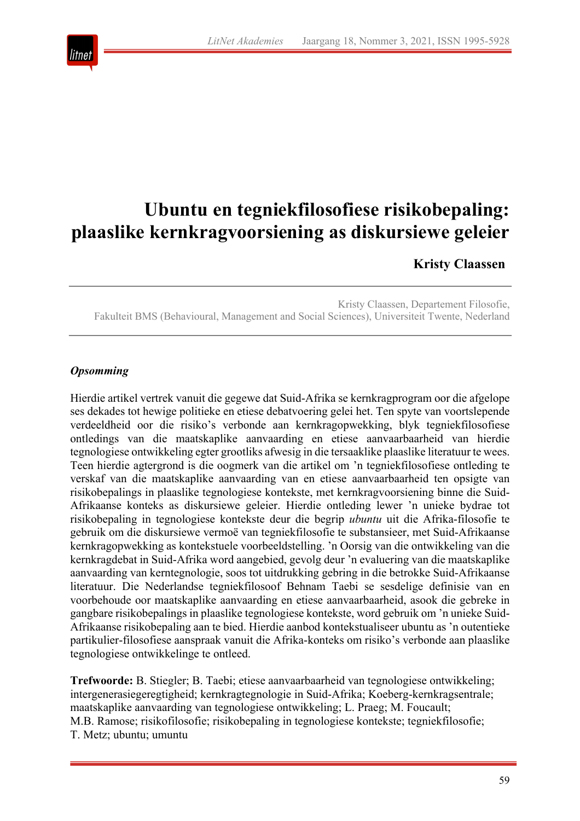

# **Ubuntu en tegniekfilosofiese risikobepaling: plaaslike kernkragvoorsiening as diskursiewe geleier**

# **Kristy Claassen**

Kristy Claassen, Departement Filosofie, Fakulteit BMS (Behavioural, Management and Social Sciences), Universiteit Twente, Nederland

# *Opsomming*

Hierdie artikel vertrek vanuit die gegewe dat Suid-Afrika se kernkragprogram oor die afgelope ses dekades tot hewige politieke en etiese debatvoering gelei het. Ten spyte van voortslepende verdeeldheid oor die risiko's verbonde aan kernkragopwekking, blyk tegniekfilosofiese ontledings van die maatskaplike aanvaarding en etiese aanvaarbaarheid van hierdie tegnologiese ontwikkeling egter grootliks afwesig in die tersaaklike plaaslike literatuur te wees. Teen hierdie agtergrond is die oogmerk van die artikel om 'n tegniekfilosofiese ontleding te verskaf van die maatskaplike aanvaarding van en etiese aanvaarbaarheid ten opsigte van risikobepalings in plaaslike tegnologiese kontekste, met kernkragvoorsiening binne die Suid-Afrikaanse konteks as diskursiewe geleier. Hierdie ontleding lewer 'n unieke bydrae tot risikobepaling in tegnologiese kontekste deur die begrip *ubuntu* uit die Afrika-filosofie te gebruik om die diskursiewe vermoë van tegniekfilosofie te substansieer, met Suid-Afrikaanse kernkragopwekking as kontekstuele voorbeeldstelling. 'n Oorsig van die ontwikkeling van die kernkragdebat in Suid-Afrika word aangebied, gevolg deur 'n evaluering van die maatskaplike aanvaarding van kerntegnologie, soos tot uitdrukking gebring in die betrokke Suid-Afrikaanse literatuur. Die Nederlandse tegniekfilosoof Behnam Taebi se sesdelige definisie van en voorbehoude oor maatskaplike aanvaarding en etiese aanvaarbaarheid, asook die gebreke in gangbare risikobepalings in plaaslike tegnologiese kontekste, word gebruik om 'n unieke Suid-Afrikaanse risikobepaling aan te bied. Hierdie aanbod kontekstualiseer ubuntu as 'n outentieke partikulier-filosofiese aanspraak vanuit die Afrika-konteks om risiko's verbonde aan plaaslike tegnologiese ontwikkelinge te ontleed.

**Trefwoorde:** B. Stiegler; B. Taebi; etiese aanvaarbaarheid van tegnologiese ontwikkeling; intergenerasiegeregtigheid; kernkragtegnologie in Suid-Afrika; Koeberg-kernkragsentrale; maatskaplike aanvaarding van tegnologiese ontwikkeling; L. Praeg; M. Foucault; M.B. Ramose; risikofilosofie; risikobepaling in tegnologiese kontekste; tegniekfilosofie; T. Metz; ubuntu; umuntu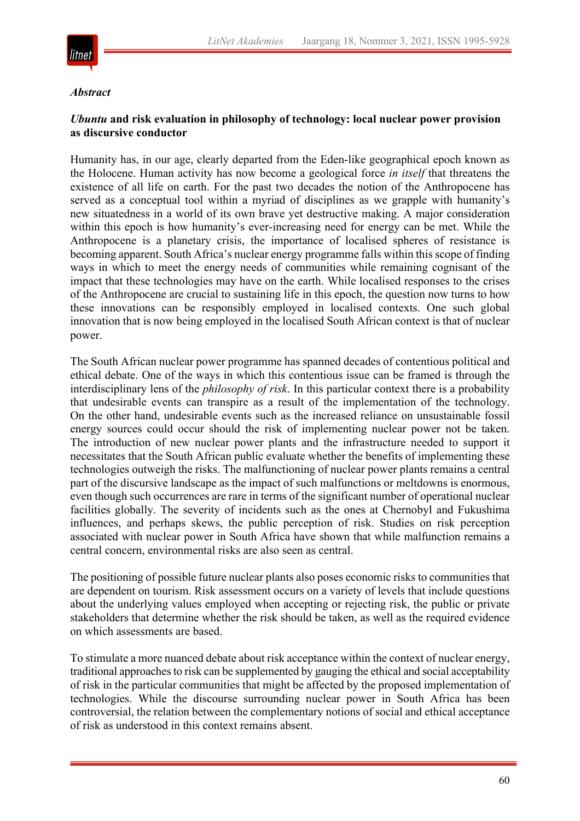

#### *Abstract*

# *Ubuntu* **and risk evaluation in philosophy of technology: local nuclear power provision as discursive conductor**

Humanity has, in our age, clearly departed from the Eden-like geographical epoch known as the Holocene. Human activity has now become a geological force *in itself* that threatens the existence of all life on earth. For the past two decades the notion of the Anthropocene has served as a conceptual tool within a myriad of disciplines as we grapple with humanity's new situatedness in a world of its own brave yet destructive making. A major consideration within this epoch is how humanity's ever-increasing need for energy can be met. While the Anthropocene is a planetary crisis, the importance of localised spheres of resistance is becoming apparent. South Africa's nuclear energy programme falls within this scope of finding ways in which to meet the energy needs of communities while remaining cognisant of the impact that these technologies may have on the earth. While localised responses to the crises of the Anthropocene are crucial to sustaining life in this epoch, the question now turns to how these innovations can be responsibly employed in localised contexts. One such global innovation that is now being employed in the localised South African context is that of nuclear power.

The South African nuclear power programme has spanned decades of contentious political and ethical debate. One of the ways in which this contentious issue can be framed is through the interdisciplinary lens of the *philosophy of risk*. In this particular context there is a probability that undesirable events can transpire as a result of the implementation of the technology. On the other hand, undesirable events such as the increased reliance on unsustainable fossil energy sources could occur should the risk of implementing nuclear power not be taken. The introduction of new nuclear power plants and the infrastructure needed to support it necessitates that the South African public evaluate whether the benefits of implementing these technologies outweigh the risks. The malfunctioning of nuclear power plants remains a central part of the discursive landscape as the impact of such malfunctions or meltdowns is enormous, even though such occurrences are rare in terms of the significant number of operational nuclear facilities globally. The severity of incidents such as the ones at Chernobyl and Fukushima influences, and perhaps skews, the public perception of risk. Studies on risk perception associated with nuclear power in South Africa have shown that while malfunction remains a central concern, environmental risks are also seen as central.

The positioning of possible future nuclear plants also poses economic risks to communities that are dependent on tourism. Risk assessment occurs on a variety of levels that include questions about the underlying values employed when accepting or rejecting risk, the public or private stakeholders that determine whether the risk should be taken, as well as the required evidence on which assessments are based.

To stimulate a more nuanced debate about risk acceptance within the context of nuclear energy, traditional approaches to risk can be supplemented by gauging the ethical and social acceptability of risk in the particular communities that might be affected by the proposed implementation of technologies. While the discourse surrounding nuclear power in South Africa has been controversial, the relation between the complementary notions of social and ethical acceptance of risk as understood in this context remains absent.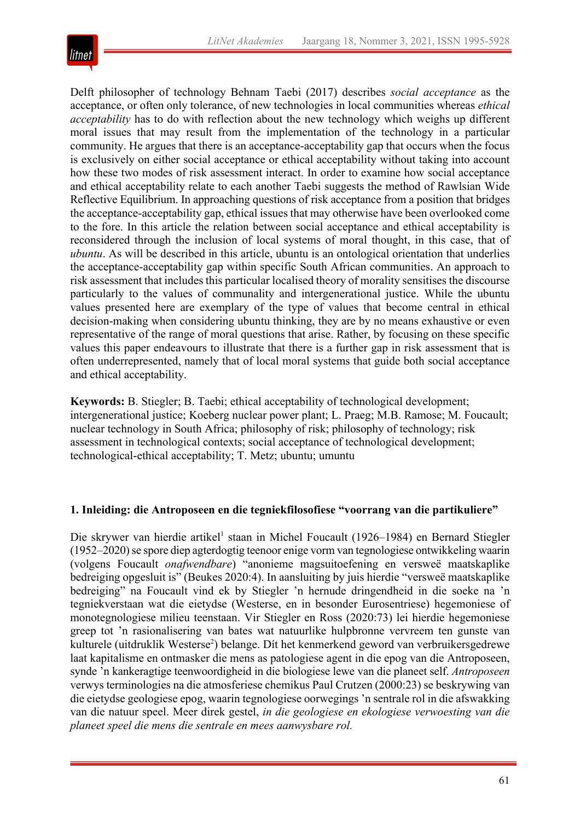

Delft philosopher of technology Behnam Taebi (2017) describes *social acceptance* as the acceptance, or often only tolerance, of new technologies in local communities whereas *ethical acceptability* has to do with reflection about the new technology which weighs up different moral issues that may result from the implementation of the technology in a particular community. He argues that there is an acceptance-acceptability gap that occurs when the focus is exclusively on either social acceptance or ethical acceptability without taking into account how these two modes of risk assessment interact. In order to examine how social acceptance and ethical acceptability relate to each another Taebi suggests the method of Rawlsian Wide Reflective Equilibrium. In approaching questions of risk acceptance from a position that bridges the acceptance-acceptability gap, ethical issues that may otherwise have been overlooked come to the fore. In this article the relation between social acceptance and ethical acceptability is reconsidered through the inclusion of local systems of moral thought, in this case, that of *ubuntu*. As will be described in this article, ubuntu is an ontological orientation that underlies the acceptance-acceptability gap within specific South African communities. An approach to risk assessment that includes this particular localised theory of morality sensitises the discourse particularly to the values of communality and intergenerational justice. While the ubuntu values presented here are exemplary of the type of values that become central in ethical decision-making when considering ubuntu thinking, they are by no means exhaustive or even representative of the range of moral questions that arise. Rather, by focusing on these specific values this paper endeavours to illustrate that there is a further gap in risk assessment that is often underrepresented, namely that of local moral systems that guide both social acceptance and ethical acceptability.

**Keywords:** B. Stiegler; B. Taebi; ethical acceptability of technological development; intergenerational justice; Koeberg nuclear power plant; L. Praeg; M.B. Ramose; M. Foucault; nuclear technology in South Africa; philosophy of risk; philosophy of technology; risk assessment in technological contexts; social acceptance of technological development; technological-ethical acceptability; T. Metz; ubuntu; umuntu

#### **1. Inleiding: die Antroposeen en die tegniekfilosofiese "voorrang van die partikuliere"**

Die skrywer van hierdie artikel<sup>1</sup> staan in Michel Foucault (1926–1984) en Bernard Stiegler (1952–2020) se spore diep agterdogtig teenoor enige vorm van tegnologiese ontwikkeling waarin (volgens Foucault *onafwendbare*) "anonieme magsuitoefening en versweë maatskaplike bedreiging opgesluit is" (Beukes 2020:4). In aansluiting by juis hierdie "versweë maatskaplike bedreiging" na Foucault vind ek by Stiegler 'n hernude dringendheid in die soeke na 'n tegniekverstaan wat die eietydse (Westerse, en in besonder Eurosentriese) hegemoniese of monotegnologiese milieu teenstaan. Vir Stiegler en Ross (2020:73) lei hierdie hegemoniese greep tot 'n rasionalisering van bates wat natuurlike hulpbronne vervreem ten gunste van kulturele (uitdruklik Westerse<sup>2</sup>) belange. Dít het kenmerkend geword van verbruikersgedrewe laat kapitalisme en ontmasker die mens as patologiese agent in die epog van die Antroposeen, synde 'n kankeragtige teenwoordigheid in die biologiese lewe van die planeet self. *Antroposeen* verwys terminologies na die atmosferiese chemikus Paul Crutzen (2000:23) se beskrywing van die eietydse geologiese epog, waarin tegnologiese oorwegings 'n sentrale rol in die afswakking van die natuur speel. Meer direk gestel, *in die geologiese en ekologiese verwoesting van die planeet speel die mens die sentrale en mees aanwysbare rol.*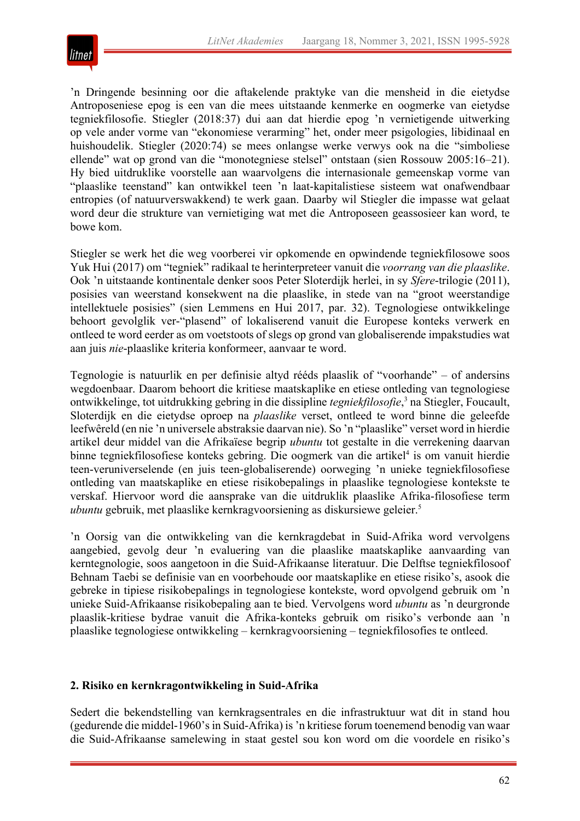

'n Dringende besinning oor die aftakelende praktyke van die mensheid in die eietydse Antroposeniese epog is een van die mees uitstaande kenmerke en oogmerke van eietydse tegniekfilosofie. Stiegler (2018:37) dui aan dat hierdie epog 'n vernietigende uitwerking op vele ander vorme van "ekonomiese verarming" het, onder meer psigologies, libidinaal en huishoudelik. Stiegler (2020:74) se mees onlangse werke verwys ook na die "simboliese ellende" wat op grond van die "monotegniese stelsel" ontstaan (sien Rossouw 2005:16–21). Hy bied uitdruklike voorstelle aan waarvolgens die internasionale gemeenskap vorme van "plaaslike teenstand" kan ontwikkel teen 'n laat-kapitalistiese sisteem wat onafwendbaar entropies (of natuurverswakkend) te werk gaan. Daarby wil Stiegler die impasse wat gelaat word deur die strukture van vernietiging wat met die Antroposeen geassosieer kan word, te bowe kom.

Stiegler se werk het die weg voorberei vir opkomende en opwindende tegniekfilosowe soos Yuk Hui (2017) om "tegniek" radikaal te herinterpreteer vanuit die *voorrang van die plaaslike*. Ook 'n uitstaande kontinentale denker soos Peter Sloterdijk herlei, in sy *Sfere*-trilogie (2011), posisies van weerstand konsekwent na die plaaslike, in stede van na "groot weerstandige intellektuele posisies" (sien Lemmens en Hui 2017, par. 32). Tegnologiese ontwikkelinge behoort gevolglik ver-"plasend" of lokaliserend vanuit die Europese konteks verwerk en ontleed te word eerder as om voetstoots of slegs op grond van globaliserende impakstudies wat aan juis *nie*-plaaslike kriteria konformeer, aanvaar te word.

Tegnologie is natuurlik en per definisie altyd rééds plaaslik of "voorhande" – of andersins wegdoenbaar. Daarom behoort die kritiese maatskaplike en etiese ontleding van tegnologiese ontwikkelinge, tot uitdrukking gebring in die dissipline *tegniekfilosofie*, <sup>3</sup> na Stiegler, Foucault, Sloterdijk en die eietydse oproep na *plaaslike* verset, ontleed te word binne die geleefde leefwêreld (en nie 'n universele abstraksie daarvan nie). So 'n "plaaslike" verset word in hierdie artikel deur middel van die Afrikaïese begrip *ubuntu* tot gestalte in die verrekening daarvan binne tegniekfilosofiese konteks gebring. Die oogmerk van die artikel<sup>4</sup> is om vanuit hierdie teen-veruniverselende (en juis teen-globaliserende) oorweging 'n unieke tegniekfilosofiese ontleding van maatskaplike en etiese risikobepalings in plaaslike tegnologiese kontekste te verskaf. Hiervoor word die aansprake van die uitdruklik plaaslike Afrika-filosofiese term *ubuntu* gebruik, met plaaslike kernkragvoorsiening as diskursiewe geleier.<sup>5</sup>

'n Oorsig van die ontwikkeling van die kernkragdebat in Suid-Afrika word vervolgens aangebied, gevolg deur 'n evaluering van die plaaslike maatskaplike aanvaarding van kerntegnologie, soos aangetoon in die Suid-Afrikaanse literatuur. Die Delftse tegniekfilosoof Behnam Taebi se definisie van en voorbehoude oor maatskaplike en etiese risiko's, asook die gebreke in tipiese risikobepalings in tegnologiese kontekste, word opvolgend gebruik om 'n unieke Suid-Afrikaanse risikobepaling aan te bied. Vervolgens word *ubuntu* as 'n deurgronde plaaslik-kritiese bydrae vanuit die Afrika-konteks gebruik om risiko's verbonde aan 'n plaaslike tegnologiese ontwikkeling – kernkragvoorsiening – tegniekfilosofies te ontleed.

# **2. Risiko en kernkragontwikkeling in Suid-Afrika**

Sedert die bekendstelling van kernkragsentrales en die infrastruktuur wat dit in stand hou (gedurende die middel-1960's in Suid-Afrika) is 'n kritiese forum toenemend benodig van waar die Suid-Afrikaanse samelewing in staat gestel sou kon word om die voordele en risiko's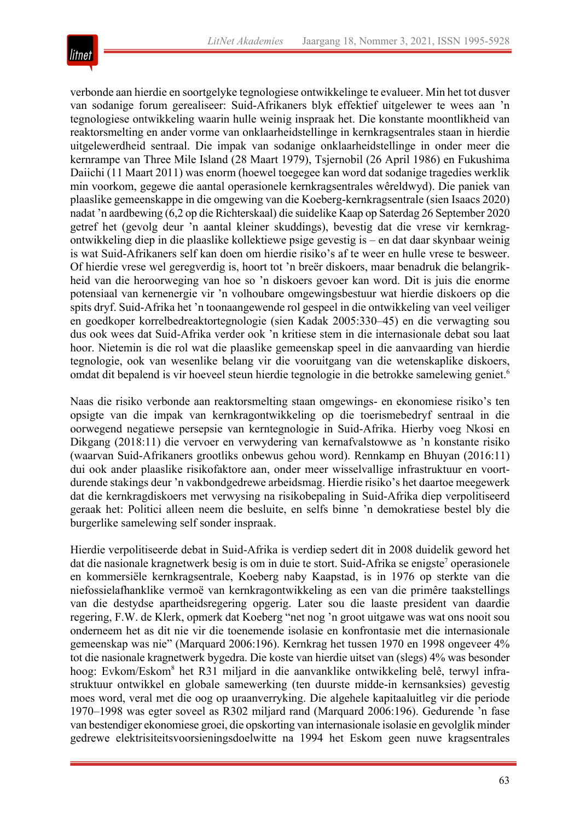

verbonde aan hierdie en soortgelyke tegnologiese ontwikkelinge te evalueer. Min het tot dusver van sodanige forum gerealiseer: Suid-Afrikaners blyk effektief uitgelewer te wees aan 'n tegnologiese ontwikkeling waarin hulle weinig inspraak het. Die konstante moontlikheid van reaktorsmelting en ander vorme van onklaarheidstellinge in kernkragsentrales staan in hierdie uitgelewerdheid sentraal. Die impak van sodanige onklaarheidstellinge in onder meer die kernrampe van Three Mile Island (28 Maart 1979), Tsjernobil (26 April 1986) en Fukushima Daiichi (11 Maart 2011) was enorm (hoewel toegegee kan word dat sodanige tragedies werklik min voorkom, gegewe die aantal operasionele kernkragsentrales wêreldwyd). Die paniek van plaaslike gemeenskappe in die omgewing van die Koeberg-kernkragsentrale (sien Isaacs 2020) nadat 'n aardbewing (6,2 op die Richterskaal) die suidelike Kaap op Saterdag 26 September 2020 getref het (gevolg deur 'n aantal kleiner skuddings), bevestig dat die vrese vir kernkragontwikkeling diep in die plaaslike kollektiewe psige gevestig is – en dat daar skynbaar weinig is wat Suid-Afrikaners self kan doen om hierdie risiko's af te weer en hulle vrese te besweer. Of hierdie vrese wel geregverdig is, hoort tot 'n breër diskoers, maar benadruk die belangrikheid van die heroorweging van hoe so 'n diskoers gevoer kan word. Dit is juis die enorme potensiaal van kernenergie vir 'n volhoubare omgewingsbestuur wat hierdie diskoers op die spits dryf. Suid-Afrika het 'n toonaangewende rol gespeel in die ontwikkeling van veel veiliger en goedkoper korrelbedreaktortegnologie (sien Kadak 2005:330–45) en die verwagting sou dus ook wees dat Suid-Afrika verder ook 'n kritiese stem in die internasionale debat sou laat hoor. Nietemin is die rol wat die plaaslike gemeenskap speel in die aanvaarding van hierdie tegnologie, ook van wesenlike belang vir die vooruitgang van die wetenskaplike diskoers, omdat dit bepalend is vir hoeveel steun hierdie tegnologie in die betrokke samelewing geniet.<sup>6</sup>

Naas die risiko verbonde aan reaktorsmelting staan omgewings- en ekonomiese risiko's ten opsigte van die impak van kernkragontwikkeling op die toerismebedryf sentraal in die oorwegend negatiewe persepsie van kerntegnologie in Suid-Afrika. Hierby voeg Nkosi en Dikgang (2018:11) die vervoer en verwydering van kernafvalstowwe as 'n konstante risiko (waarvan Suid-Afrikaners grootliks onbewus gehou word). Rennkamp en Bhuyan (2016:11) dui ook ander plaaslike risikofaktore aan, onder meer wisselvallige infrastruktuur en voortdurende stakings deur 'n vakbondgedrewe arbeidsmag. Hierdie risiko's het daartoe meegewerk dat die kernkragdiskoers met verwysing na risikobepaling in Suid-Afrika diep verpolitiseerd geraak het: Politici alleen neem die besluite, en selfs binne 'n demokratiese bestel bly die burgerlike samelewing self sonder inspraak.

Hierdie verpolitiseerde debat in Suid-Afrika is verdiep sedert dit in 2008 duidelik geword het dat die nasionale kragnetwerk besig is om in duie te stort. Suid-Afrika se enigste<sup>7</sup> operasionele en kommersiële kernkragsentrale, Koeberg naby Kaapstad, is in 1976 op sterkte van die niefossielafhanklike vermoë van kernkragontwikkeling as een van die primêre taakstellings van die destydse apartheidsregering opgerig. Later sou die laaste president van daardie regering, F.W. de Klerk, opmerk dat Koeberg "net nog 'n groot uitgawe was wat ons nooit sou onderneem het as dit nie vir die toenemende isolasie en konfrontasie met die internasionale gemeenskap was nie" (Marquard 2006:196). Kernkrag het tussen 1970 en 1998 ongeveer 4% tot die nasionale kragnetwerk bygedra. Die koste van hierdie uitset van (slegs) 4% was besonder hoog: Evkom/Eskom<sup>8</sup> het R31 miljard in die aanvanklike ontwikkeling belê, terwyl infrastruktuur ontwikkel en globale samewerking (ten duurste midde-in kernsanksies) gevestig moes word, veral met die oog op uraanverryking. Die algehele kapitaaluitleg vir die periode 1970–1998 was egter soveel as R302 miljard rand (Marquard 2006:196). Gedurende 'n fase van bestendiger ekonomiese groei, die opskorting van internasionale isolasie en gevolglik minder gedrewe elektrisiteitsvoorsieningsdoelwitte na 1994 het Eskom geen nuwe kragsentrales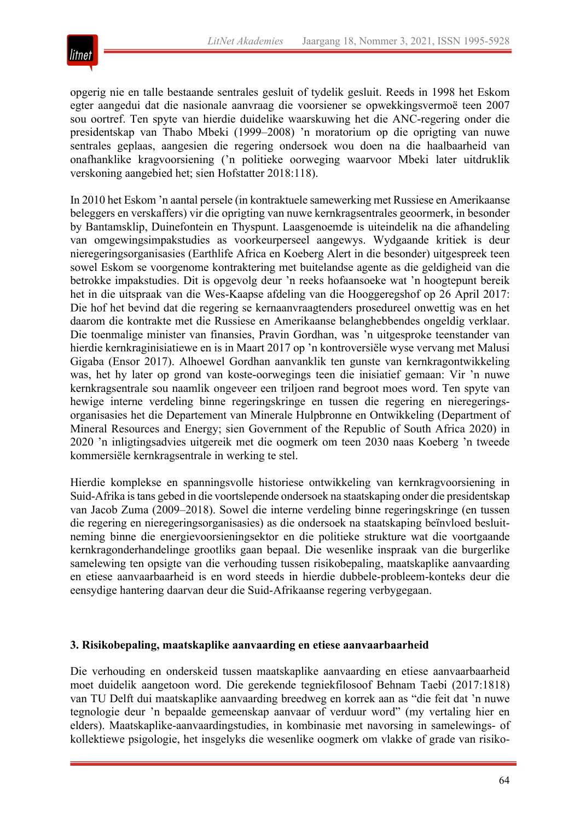

opgerig nie en talle bestaande sentrales gesluit of tydelik gesluit. Reeds in 1998 het Eskom egter aangedui dat die nasionale aanvraag die voorsiener se opwekkingsvermoë teen 2007 sou oortref. Ten spyte van hierdie duidelike waarskuwing het die ANC-regering onder die presidentskap van Thabo Mbeki (1999–2008) 'n moratorium op die oprigting van nuwe sentrales geplaas, aangesien die regering ondersoek wou doen na die haalbaarheid van onafhanklike kragvoorsiening ('n politieke oorweging waarvoor Mbeki later uitdruklik verskoning aangebied het; sien Hofstatter 2018:118).

In 2010 het Eskom 'n aantal persele (in kontraktuele samewerking met Russiese en Amerikaanse beleggers en verskaffers) vir die oprigting van nuwe kernkragsentrales geoormerk, in besonder by Bantamsklip, Duinefontein en Thyspunt. Laasgenoemde is uiteindelik na die afhandeling van omgewingsimpakstudies as voorkeurperseel aangewys. Wydgaande kritiek is deur nieregeringsorganisasies (Earthlife Africa en Koeberg Alert in die besonder) uitgespreek teen sowel Eskom se voorgenome kontraktering met buitelandse agente as die geldigheid van die betrokke impakstudies. Dit is opgevolg deur 'n reeks hofaansoeke wat 'n hoogtepunt bereik het in die uitspraak van die Wes-Kaapse afdeling van die Hooggeregshof op 26 April 2017: Die hof het bevind dat die regering se kernaanvraagtenders prosedureel onwettig was en het daarom die kontrakte met die Russiese en Amerikaanse belanghebbendes ongeldig verklaar. Die toenmalige minister van finansies, Pravin Gordhan, was 'n uitgesproke teenstander van hierdie kernkraginisiatiewe en is in Maart 2017 op 'n kontroversiële wyse vervang met Malusi Gigaba (Ensor 2017). Alhoewel Gordhan aanvanklik ten gunste van kernkragontwikkeling was, het hy later op grond van koste-oorwegings teen die inisiatief gemaan: Vir 'n nuwe kernkragsentrale sou naamlik ongeveer een triljoen rand begroot moes word. Ten spyte van hewige interne verdeling binne regeringskringe en tussen die regering en nieregeringsorganisasies het die Departement van Minerale Hulpbronne en Ontwikkeling (Department of Mineral Resources and Energy; sien Government of the Republic of South Africa 2020) in 2020 'n inligtingsadvies uitgereik met die oogmerk om teen 2030 naas Koeberg 'n tweede kommersiële kernkragsentrale in werking te stel.

Hierdie komplekse en spanningsvolle historiese ontwikkeling van kernkragvoorsiening in Suid-Afrika is tans gebed in die voortslepende ondersoek na staatskaping onder die presidentskap van Jacob Zuma (2009–2018). Sowel die interne verdeling binne regeringskringe (en tussen die regering en nieregeringsorganisasies) as die ondersoek na staatskaping beïnvloed besluitneming binne die energievoorsieningsektor en die politieke strukture wat die voortgaande kernkragonderhandelinge grootliks gaan bepaal. Die wesenlike inspraak van die burgerlike samelewing ten opsigte van die verhouding tussen risikobepaling, maatskaplike aanvaarding en etiese aanvaarbaarheid is en word steeds in hierdie dubbele-probleem-konteks deur die eensydige hantering daarvan deur die Suid-Afrikaanse regering verbygegaan.

#### **3. Risikobepaling, maatskaplike aanvaarding en etiese aanvaarbaarheid**

Die verhouding en onderskeid tussen maatskaplike aanvaarding en etiese aanvaarbaarheid moet duidelik aangetoon word. Die gerekende tegniekfilosoof Behnam Taebi (2017:1818) van TU Delft dui maatskaplike aanvaarding breedweg en korrek aan as "die feit dat 'n nuwe tegnologie deur 'n bepaalde gemeenskap aanvaar of verduur word" (my vertaling hier en elders). Maatskaplike-aanvaardingstudies, in kombinasie met navorsing in samelewings- of kollektiewe psigologie, het insgelyks die wesenlike oogmerk om vlakke of grade van risiko-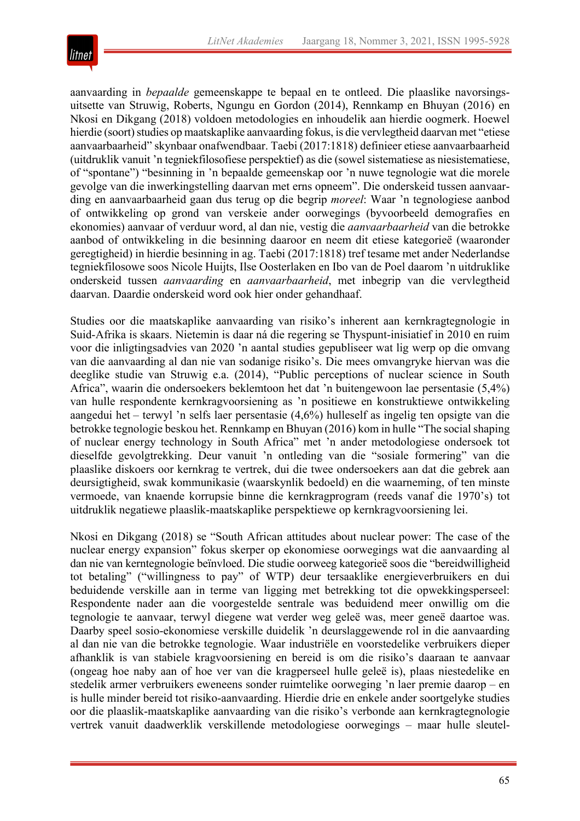

aanvaarding in *bepaalde* gemeenskappe te bepaal en te ontleed. Die plaaslike navorsingsuitsette van Struwig, Roberts, Ngungu en Gordon (2014), Rennkamp en Bhuyan (2016) en Nkosi en Dikgang (2018) voldoen metodologies en inhoudelik aan hierdie oogmerk. Hoewel hierdie (soort) studies op maatskaplike aanvaarding fokus, is die vervlegtheid daarvan met "etiese aanvaarbaarheid" skynbaar onafwendbaar. Taebi (2017:1818) definieer etiese aanvaarbaarheid (uitdruklik vanuit 'n tegniekfilosofiese perspektief) as die (sowel sistematiese as niesistematiese, of "spontane") "besinning in 'n bepaalde gemeenskap oor 'n nuwe tegnologie wat die morele gevolge van die inwerkingstelling daarvan met erns opneem". Die onderskeid tussen aanvaarding en aanvaarbaarheid gaan dus terug op die begrip *moreel*: Waar 'n tegnologiese aanbod of ontwikkeling op grond van verskeie ander oorwegings (byvoorbeeld demografies en ekonomies) aanvaar of verduur word, al dan nie, vestig die *aanvaarbaarheid* van die betrokke aanbod of ontwikkeling in die besinning daaroor en neem dit etiese kategorieë (waaronder geregtigheid) in hierdie besinning in ag. Taebi (2017:1818) tref tesame met ander Nederlandse tegniekfilosowe soos Nicole Huijts, Ilse Oosterlaken en Ibo van de Poel daarom 'n uitdruklike onderskeid tussen *aanvaarding* en *aanvaarbaarheid*, met inbegrip van die vervlegtheid daarvan. Daardie onderskeid word ook hier onder gehandhaaf.

Studies oor die maatskaplike aanvaarding van risiko's inherent aan kernkragtegnologie in Suid-Afrika is skaars. Nietemin is daar ná die regering se Thyspunt-inisiatief in 2010 en ruim voor die inligtingsadvies van 2020 'n aantal studies gepubliseer wat lig werp op die omvang van die aanvaarding al dan nie van sodanige risiko's. Die mees omvangryke hiervan was die deeglike studie van Struwig e.a. (2014), "Public perceptions of nuclear science in South Africa", waarin die ondersoekers beklemtoon het dat 'n buitengewoon lae persentasie (5,4%) van hulle respondente kernkragvoorsiening as 'n positiewe en konstruktiewe ontwikkeling aangedui het – terwyl 'n selfs laer persentasie (4,6%) hulleself as ingelig ten opsigte van die betrokke tegnologie beskou het. Rennkamp en Bhuyan (2016) kom in hulle "The social shaping of nuclear energy technology in South Africa" met 'n ander metodologiese ondersoek tot dieselfde gevolgtrekking. Deur vanuit 'n ontleding van die "sosiale formering" van die plaaslike diskoers oor kernkrag te vertrek, dui die twee ondersoekers aan dat die gebrek aan deursigtigheid, swak kommunikasie (waarskynlik bedoeld) en die waarneming, of ten minste vermoede, van knaende korrupsie binne die kernkragprogram (reeds vanaf die 1970's) tot uitdruklik negatiewe plaaslik-maatskaplike perspektiewe op kernkragvoorsiening lei.

Nkosi en Dikgang (2018) se "South African attitudes about nuclear power: The case of the nuclear energy expansion" fokus skerper op ekonomiese oorwegings wat die aanvaarding al dan nie van kerntegnologie beïnvloed. Die studie oorweeg kategorieë soos die "bereidwilligheid tot betaling" ("willingness to pay" of WTP) deur tersaaklike energieverbruikers en dui beduidende verskille aan in terme van ligging met betrekking tot die opwekkingsperseel: Respondente nader aan die voorgestelde sentrale was beduidend meer onwillig om die tegnologie te aanvaar, terwyl diegene wat verder weg geleë was, meer geneë daartoe was. Daarby speel sosio-ekonomiese verskille duidelik 'n deurslaggewende rol in die aanvaarding al dan nie van die betrokke tegnologie. Waar industriële en voorstedelike verbruikers dieper afhanklik is van stabiele kragvoorsiening en bereid is om die risiko's daaraan te aanvaar (ongeag hoe naby aan of hoe ver van die kragperseel hulle geleë is), plaas niestedelike en stedelik armer verbruikers eweneens sonder ruimtelike oorweging 'n laer premie daarop – en is hulle minder bereid tot risiko-aanvaarding. Hierdie drie en enkele ander soortgelyke studies oor die plaaslik-maatskaplike aanvaarding van die risiko's verbonde aan kernkragtegnologie vertrek vanuit daadwerklik verskillende metodologiese oorwegings – maar hulle sleutel-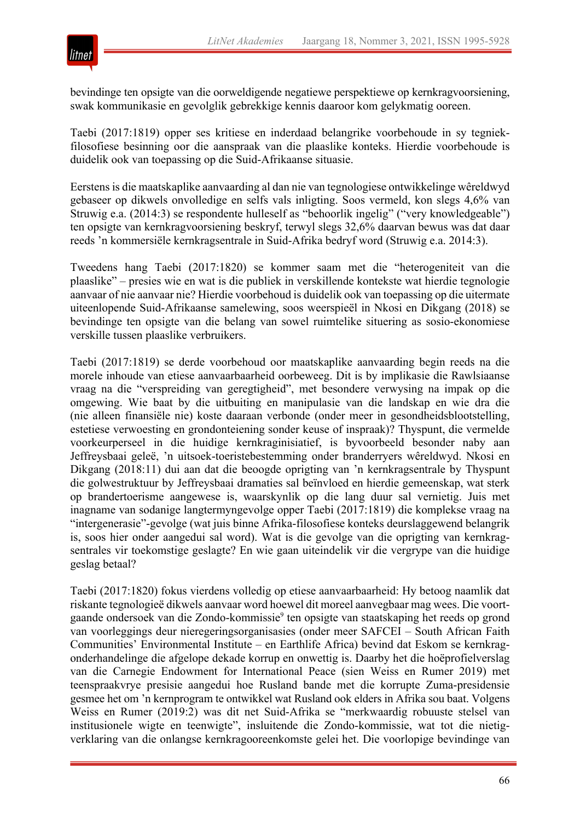

bevindinge ten opsigte van die oorweldigende negatiewe perspektiewe op kernkragvoorsiening, swak kommunikasie en gevolglik gebrekkige kennis daaroor kom gelykmatig ooreen.

Taebi (2017:1819) opper ses kritiese en inderdaad belangrike voorbehoude in sy tegniekfilosofiese besinning oor die aanspraak van die plaaslike konteks. Hierdie voorbehoude is duidelik ook van toepassing op die Suid-Afrikaanse situasie.

Eerstens is die maatskaplike aanvaarding al dan nie van tegnologiese ontwikkelinge wêreldwyd gebaseer op dikwels onvolledige en selfs vals inligting. Soos vermeld, kon slegs 4,6% van Struwig e.a. (2014:3) se respondente hulleself as "behoorlik ingelig" ("very knowledgeable") ten opsigte van kernkragvoorsiening beskryf, terwyl slegs 32,6% daarvan bewus was dat daar reeds 'n kommersiële kernkragsentrale in Suid-Afrika bedryf word (Struwig e.a. 2014:3).

Tweedens hang Taebi (2017:1820) se kommer saam met die "heterogeniteit van die plaaslike" – presies wie en wat is die publiek in verskillende kontekste wat hierdie tegnologie aanvaar of nie aanvaar nie? Hierdie voorbehoud is duidelik ook van toepassing op die uitermate uiteenlopende Suid-Afrikaanse samelewing, soos weerspieël in Nkosi en Dikgang (2018) se bevindinge ten opsigte van die belang van sowel ruimtelike situering as sosio-ekonomiese verskille tussen plaaslike verbruikers.

Taebi (2017:1819) se derde voorbehoud oor maatskaplike aanvaarding begin reeds na die morele inhoude van etiese aanvaarbaarheid oorbeweeg. Dit is by implikasie die Rawlsiaanse vraag na die "verspreiding van geregtigheid", met besondere verwysing na impak op die omgewing. Wie baat by die uitbuiting en manipulasie van die landskap en wie dra die (nie alleen finansiële nie) koste daaraan verbonde (onder meer in gesondheidsblootstelling, estetiese verwoesting en grondonteiening sonder keuse of inspraak)? Thyspunt, die vermelde voorkeurperseel in die huidige kernkraginisiatief, is byvoorbeeld besonder naby aan Jeffreysbaai geleë, 'n uitsoek-toeristebestemming onder branderryers wêreldwyd. Nkosi en Dikgang (2018:11) dui aan dat die beoogde oprigting van 'n kernkragsentrale by Thyspunt die golwestruktuur by Jeffreysbaai dramaties sal beïnvloed en hierdie gemeenskap, wat sterk op brandertoerisme aangewese is, waarskynlik op die lang duur sal vernietig. Juis met inagname van sodanige langtermyngevolge opper Taebi (2017:1819) die komplekse vraag na "intergenerasie"-gevolge (wat juis binne Afrika-filosofiese konteks deurslaggewend belangrik is, soos hier onder aangedui sal word). Wat is die gevolge van die oprigting van kernkragsentrales vir toekomstige geslagte? En wie gaan uiteindelik vir die vergrype van die huidige geslag betaal?

Taebi (2017:1820) fokus vierdens volledig op etiese aanvaarbaarheid: Hy betoog naamlik dat riskante tegnologieë dikwels aanvaar word hoewel dit moreel aanvegbaar mag wees. Die voortgaande ondersoek van die Zondo-kommissie<sup>9</sup> ten opsigte van staatskaping het reeds op grond van voorleggings deur nieregeringsorganisasies (onder meer SAFCEI – South African Faith Communities' Environmental Institute – en Earthlife Africa) bevind dat Eskom se kernkragonderhandelinge die afgelope dekade korrup en onwettig is. Daarby het die hoëprofielverslag van die Carnegie Endowment for International Peace (sien Weiss en Rumer 2019) met teenspraakvrye presisie aangedui hoe Rusland bande met die korrupte Zuma-presidensie gesmee het om 'n kernprogram te ontwikkel wat Rusland ook elders in Afrika sou baat. Volgens Weiss en Rumer (2019:2) was dit net Suid-Afrika se "merkwaardig robuuste stelsel van institusionele wigte en teenwigte", insluitende die Zondo-kommissie, wat tot die nietigverklaring van die onlangse kernkragooreenkomste gelei het. Die voorlopige bevindinge van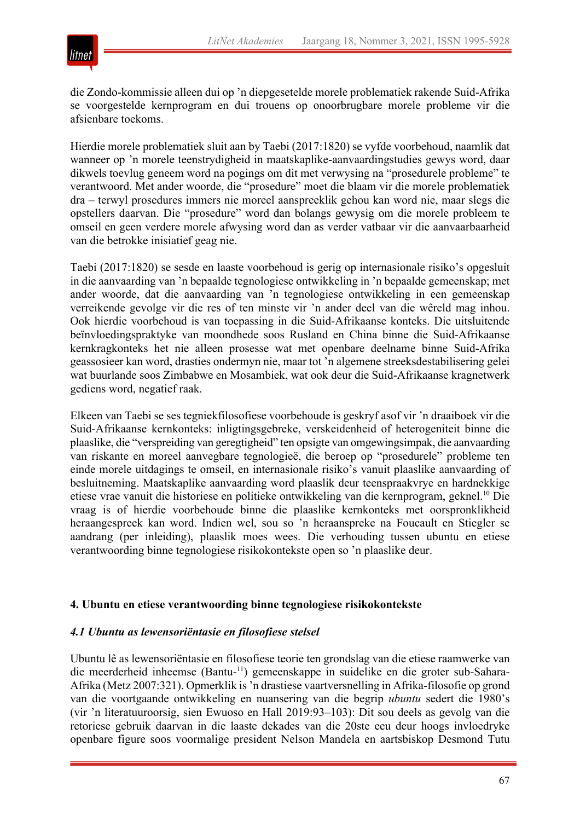

die Zondo-kommissie alleen dui op 'n diepgesetelde morele problematiek rakende Suid-Afrika se voorgestelde kernprogram en dui trouens op onoorbrugbare morele probleme vir die afsienbare toekoms.

Hierdie morele problematiek sluit aan by Taebi (2017:1820) se vyfde voorbehoud, naamlik dat wanneer op 'n morele teenstrydigheid in maatskaplike-aanvaardingstudies gewys word, daar dikwels toevlug geneem word na pogings om dit met verwysing na "prosedurele probleme" te verantwoord. Met ander woorde, die "prosedure" moet die blaam vir die morele problematiek dra – terwyl prosedures immers nie moreel aanspreeklik gehou kan word nie, maar slegs die opstellers daarvan. Die "prosedure" word dan bolangs gewysig om die morele probleem te omseil en geen verdere morele afwysing word dan as verder vatbaar vir die aanvaarbaarheid van die betrokke inisiatief geag nie.

Taebi (2017:1820) se sesde en laaste voorbehoud is gerig op internasionale risiko's opgesluit in die aanvaarding van 'n bepaalde tegnologiese ontwikkeling in 'n bepaalde gemeenskap; met ander woorde, dat die aanvaarding van 'n tegnologiese ontwikkeling in een gemeenskap verreikende gevolge vir die res of ten minste vir 'n ander deel van die wêreld mag inhou. Ook hierdie voorbehoud is van toepassing in die Suid-Afrikaanse konteks. Die uitsluitende beïnvloedingspraktyke van moondhede soos Rusland en China binne die Suid-Afrikaanse kernkragkonteks het nie alleen prosesse wat met openbare deelname binne Suid-Afrika geassosieer kan word, drasties ondermyn nie, maar tot 'n algemene streeksdestabilisering gelei wat buurlande soos Zimbabwe en Mosambiek, wat ook deur die Suid-Afrikaanse kragnetwerk gediens word, negatief raak.

Elkeen van Taebi se ses tegniekfilosofiese voorbehoude is geskryf asof vir 'n draaiboek vir die Suid-Afrikaanse kernkonteks: inligtingsgebreke, verskeidenheid of heterogeniteit binne die plaaslike, die "verspreiding van geregtigheid" ten opsigte van omgewingsimpak, die aanvaarding van riskante en moreel aanvegbare tegnologieë, die beroep op "prosedurele" probleme ten einde morele uitdagings te omseil, en internasionale risiko's vanuit plaaslike aanvaarding of besluitneming. Maatskaplike aanvaarding word plaaslik deur teenspraakvrye en hardnekkige etiese vrae vanuit die historiese en politieke ontwikkeling van die kernprogram, geknel.10 Die vraag is of hierdie voorbehoude binne die plaaslike kernkonteks met oorspronklikheid heraangespreek kan word. Indien wel, sou so 'n heraanspreke na Foucault en Stiegler se aandrang (per inleiding), plaaslik moes wees. Die verhouding tussen ubuntu en etiese verantwoording binne tegnologiese risikokontekste open so 'n plaaslike deur.

#### **4. Ubuntu en etiese verantwoording binne tegnologiese risikokontekste**

#### *4.1 Ubuntu as lewensoriëntasie en filosofiese stelsel*

Ubuntu lê as lewensoriëntasie en filosofiese teorie ten grondslag van die etiese raamwerke van die meerderheid inheemse (Bantu-11) gemeenskappe in suidelike en die groter sub-Sahara-Afrika (Metz 2007:321). Opmerklik is 'n drastiese vaartversnelling in Afrika-filosofie op grond van die voortgaande ontwikkeling en nuansering van die begrip *ubuntu* sedert die 1980's (vir 'n literatuuroorsig, sien Ewuoso en Hall 2019:93–103): Dit sou deels as gevolg van die retoriese gebruik daarvan in die laaste dekades van die 20ste eeu deur hoogs invloedryke openbare figure soos voormalige president Nelson Mandela en aartsbiskop Desmond Tutu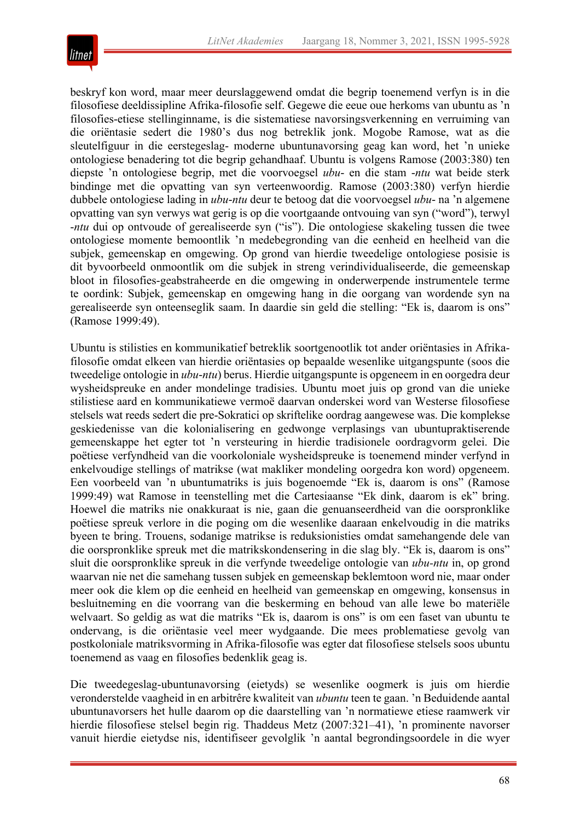

beskryf kon word, maar meer deurslaggewend omdat die begrip toenemend verfyn is in die filosofiese deeldissipline Afrika-filosofie self. Gegewe die eeue oue herkoms van ubuntu as 'n filosofies-etiese stellinginname, is die sistematiese navorsingsverkenning en verruiming van die oriëntasie sedert die 1980's dus nog betreklik jonk. Mogobe Ramose, wat as die sleutelfiguur in die eerstegeslag- moderne ubuntunavorsing geag kan word, het 'n unieke ontologiese benadering tot die begrip gehandhaaf. Ubuntu is volgens Ramose (2003:380) ten diepste 'n ontologiese begrip, met die voorvoegsel *ubu*- en die stam -*ntu* wat beide sterk bindinge met die opvatting van syn verteenwoordig. Ramose (2003:380) verfyn hierdie dubbele ontologiese lading in *ubu*-*ntu* deur te betoog dat die voorvoegsel *ubu*- na 'n algemene opvatting van syn verwys wat gerig is op die voortgaande ontvouing van syn ("word"), terwyl -*ntu* dui op ontvoude of gerealiseerde syn ("is"). Die ontologiese skakeling tussen die twee ontologiese momente bemoontlik 'n medebegronding van die eenheid en heelheid van die subjek, gemeenskap en omgewing. Op grond van hierdie tweedelige ontologiese posisie is dit byvoorbeeld onmoontlik om die subjek in streng verindividualiseerde, die gemeenskap bloot in filosofies-geabstraheerde en die omgewing in onderwerpende instrumentele terme te oordink: Subjek, gemeenskap en omgewing hang in die oorgang van wordende syn na gerealiseerde syn onteenseglik saam. In daardie sin geld die stelling: "Ek is, daarom is ons" (Ramose 1999:49).

Ubuntu is stilisties en kommunikatief betreklik soortgenootlik tot ander oriëntasies in Afrikafilosofie omdat elkeen van hierdie oriëntasies op bepaalde wesenlike uitgangspunte (soos die tweedelige ontologie in *ubu*-*ntu*) berus. Hierdie uitgangspunte is opgeneem in en oorgedra deur wysheidspreuke en ander mondelinge tradisies. Ubuntu moet juis op grond van die unieke stilistiese aard en kommunikatiewe vermoë daarvan onderskei word van Westerse filosofiese stelsels wat reeds sedert die pre-Sokratici op skriftelike oordrag aangewese was. Die komplekse geskiedenisse van die kolonialisering en gedwonge verplasings van ubuntupraktiserende gemeenskappe het egter tot 'n versteuring in hierdie tradisionele oordragvorm gelei. Die poëtiese verfyndheid van die voorkoloniale wysheidspreuke is toenemend minder verfynd in enkelvoudige stellings of matrikse (wat makliker mondeling oorgedra kon word) opgeneem. Een voorbeeld van 'n ubuntumatriks is juis bogenoemde "Ek is, daarom is ons" (Ramose 1999:49) wat Ramose in teenstelling met die Cartesiaanse "Ek dink, daarom is ek" bring. Hoewel die matriks nie onakkuraat is nie, gaan die genuanseerdheid van die oorspronklike poëtiese spreuk verlore in die poging om die wesenlike daaraan enkelvoudig in die matriks byeen te bring. Trouens, sodanige matrikse is reduksionisties omdat samehangende dele van die oorspronklike spreuk met die matrikskondensering in die slag bly. "Ek is, daarom is ons" sluit die oorspronklike spreuk in die verfynde tweedelige ontologie van *ubu-ntu* in, op grond waarvan nie net die samehang tussen subjek en gemeenskap beklemtoon word nie, maar onder meer ook die klem op die eenheid en heelheid van gemeenskap en omgewing, konsensus in besluitneming en die voorrang van die beskerming en behoud van alle lewe bo materiële welvaart. So geldig as wat die matriks "Ek is, daarom is ons" is om een faset van ubuntu te ondervang, is die oriëntasie veel meer wydgaande. Die mees problematiese gevolg van postkoloniale matriksvorming in Afrika-filosofie was egter dat filosofiese stelsels soos ubuntu toenemend as vaag en filosofies bedenklik geag is.

Die tweedegeslag-ubuntunavorsing (eietyds) se wesenlike oogmerk is juis om hierdie veronderstelde vaagheid in en arbitrêre kwaliteit van *ubuntu* teen te gaan. 'n Beduidende aantal ubuntunavorsers het hulle daarom op die daarstelling van 'n normatiewe etiese raamwerk vir hierdie filosofiese stelsel begin rig. Thaddeus Metz (2007:321–41), 'n prominente navorser vanuit hierdie eietydse nis, identifiseer gevolglik 'n aantal begrondingsoordele in die wyer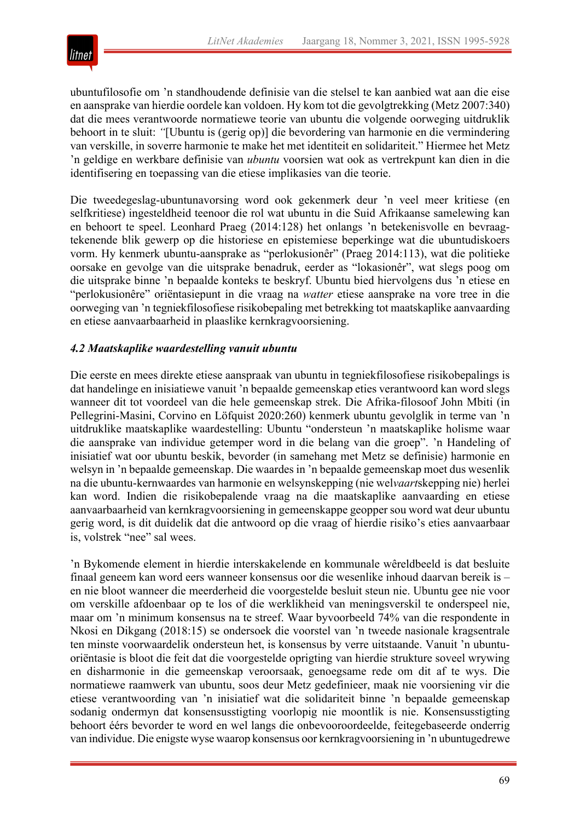

ubuntufilosofie om 'n standhoudende definisie van die stelsel te kan aanbied wat aan die eise en aansprake van hierdie oordele kan voldoen. Hy kom tot die gevolgtrekking (Metz 2007:340) dat die mees verantwoorde normatiewe teorie van ubuntu die volgende oorweging uitdruklik behoort in te sluit: *"*[Ubuntu is (gerig op)] die bevordering van harmonie en die vermindering van verskille, in soverre harmonie te make het met identiteit en solidariteit." Hiermee het Metz 'n geldige en werkbare definisie van *ubuntu* voorsien wat ook as vertrekpunt kan dien in die identifisering en toepassing van die etiese implikasies van die teorie.

Die tweedegeslag-ubuntunavorsing word ook gekenmerk deur 'n veel meer kritiese (en selfkritiese) ingesteldheid teenoor die rol wat ubuntu in die Suid Afrikaanse samelewing kan en behoort te speel. Leonhard Praeg (2014:128) het onlangs 'n betekenisvolle en bevraagtekenende blik gewerp op die historiese en epistemiese beperkinge wat die ubuntudiskoers vorm. Hy kenmerk ubuntu-aansprake as "perlokusionêr" (Praeg 2014:113), wat die politieke oorsake en gevolge van die uitsprake benadruk, eerder as "lokasionêr", wat slegs poog om die uitsprake binne 'n bepaalde konteks te beskryf. Ubuntu bied hiervolgens dus 'n etiese en "perlokusionêre" oriëntasiepunt in die vraag na *watter* etiese aansprake na vore tree in die oorweging van 'n tegniekfilosofiese risikobepaling met betrekking tot maatskaplike aanvaarding en etiese aanvaarbaarheid in plaaslike kernkragvoorsiening.

# *4.2 Maatskaplike waardestelling vanuit ubuntu*

Die eerste en mees direkte etiese aanspraak van ubuntu in tegniekfilosofiese risikobepalings is dat handelinge en inisiatiewe vanuit 'n bepaalde gemeenskap eties verantwoord kan word slegs wanneer dit tot voordeel van die hele gemeenskap strek. Die Afrika-filosoof John Mbiti (in Pellegrini-Masini, Corvino en Löfquist 2020:260) kenmerk ubuntu gevolglik in terme van 'n uitdruklike maatskaplike waardestelling: Ubuntu "ondersteun 'n maatskaplike holisme waar die aansprake van individue getemper word in die belang van die groep". 'n Handeling of inisiatief wat oor ubuntu beskik, bevorder (in samehang met Metz se definisie) harmonie en welsyn in 'n bepaalde gemeenskap. Die waardes in 'n bepaalde gemeenskap moet dus wesenlik na die ubuntu-kernwaardes van harmonie en welsynskepping (nie wel*vaart*skepping nie) herlei kan word. Indien die risikobepalende vraag na die maatskaplike aanvaarding en etiese aanvaarbaarheid van kernkragvoorsiening in gemeenskappe geopper sou word wat deur ubuntu gerig word, is dit duidelik dat die antwoord op die vraag of hierdie risiko's eties aanvaarbaar is, volstrek "nee" sal wees.

'n Bykomende element in hierdie interskakelende en kommunale wêreldbeeld is dat besluite finaal geneem kan word eers wanneer konsensus oor die wesenlike inhoud daarvan bereik is – en nie bloot wanneer die meerderheid die voorgestelde besluit steun nie. Ubuntu gee nie voor om verskille afdoenbaar op te los of die werklikheid van meningsverskil te onderspeel nie, maar om 'n minimum konsensus na te streef. Waar byvoorbeeld 74% van die respondente in Nkosi en Dikgang (2018:15) se ondersoek die voorstel van 'n tweede nasionale kragsentrale ten minste voorwaardelik ondersteun het, is konsensus by verre uitstaande. Vanuit 'n ubuntuoriëntasie is bloot die feit dat die voorgestelde oprigting van hierdie strukture soveel wrywing en disharmonie in die gemeenskap veroorsaak, genoegsame rede om dit af te wys. Die normatiewe raamwerk van ubuntu, soos deur Metz gedefinieer, maak nie voorsiening vir die etiese verantwoording van 'n inisiatief wat die solidariteit binne 'n bepaalde gemeenskap sodanig ondermyn dat konsensusstigting voorlopig nie moontlik is nie. Konsensusstigting behoort éérs bevorder te word en wel langs die onbevooroordeelde, feitegebaseerde onderrig van individue. Die enigste wyse waarop konsensus oor kernkragvoorsiening in 'n ubuntugedrewe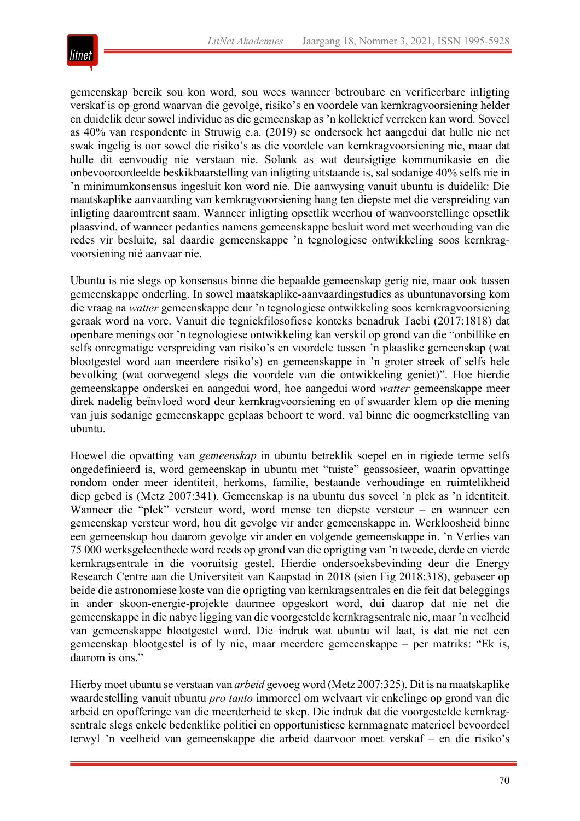

gemeenskap bereik sou kon word, sou wees wanneer betroubare en verifieerbare inligting verskaf is op grond waarvan die gevolge, risiko's en voordele van kernkragvoorsiening helder en duidelik deur sowel individue as die gemeenskap as 'n kollektief verreken kan word. Soveel as 40% van respondente in Struwig e.a. (2019) se ondersoek het aangedui dat hulle nie net swak ingelig is oor sowel die risiko's as die voordele van kernkragvoorsiening nie, maar dat hulle dit eenvoudig nie verstaan nie. Solank as wat deursigtige kommunikasie en die onbevooroordeelde beskikbaarstelling van inligting uitstaande is, sal sodanige 40% selfs nie in 'n minimumkonsensus ingesluit kon word nie. Die aanwysing vanuit ubuntu is duidelik: Die maatskaplike aanvaarding van kernkragvoorsiening hang ten diepste met die verspreiding van inligting daaromtrent saam. Wanneer inligting opsetlik weerhou of wanvoorstellinge opsetlik plaasvind, of wanneer pedanties namens gemeenskappe besluit word met weerhouding van die redes vir besluite, sal daardie gemeenskappe 'n tegnologiese ontwikkeling soos kernkragvoorsiening nié aanvaar nie.

Ubuntu is nie slegs op konsensus binne die bepaalde gemeenskap gerig nie, maar ook tussen gemeenskappe onderling. In sowel maatskaplike-aanvaardingstudies as ubuntunavorsing kom die vraag na *watter* gemeenskappe deur 'n tegnologiese ontwikkeling soos kernkragvoorsiening geraak word na vore. Vanuit die tegniekfilosofiese konteks benadruk Taebi (2017:1818) dat openbare menings oor 'n tegnologiese ontwikkeling kan verskil op grond van die "onbillike en selfs onregmatige verspreiding van risiko's en voordele tussen 'n plaaslike gemeenskap (wat blootgestel word aan meerdere risiko's) en gemeenskappe in 'n groter streek of selfs hele bevolking (wat oorwegend slegs die voordele van die ontwikkeling geniet)". Hoe hierdie gemeenskappe onderskei en aangedui word, hoe aangedui word *watter* gemeenskappe meer direk nadelig beïnvloed word deur kernkragvoorsiening en of swaarder klem op die mening van juis sodanige gemeenskappe geplaas behoort te word, val binne die oogmerkstelling van ubuntu.

Hoewel die opvatting van *gemeenskap* in ubuntu betreklik soepel en in rigiede terme selfs ongedefinieerd is, word gemeenskap in ubuntu met "tuiste" geassosieer, waarin opvattinge rondom onder meer identiteit, herkoms, familie, bestaande verhoudinge en ruimtelikheid diep gebed is (Metz 2007:341). Gemeenskap is na ubuntu dus soveel 'n plek as 'n identiteit. Wanneer die "plek" versteur word, word mense ten diepste versteur – en wanneer een gemeenskap versteur word, hou dit gevolge vir ander gemeenskappe in. Werkloosheid binne een gemeenskap hou daarom gevolge vir ander en volgende gemeenskappe in. 'n Verlies van 75 000 werksgeleenthede word reeds op grond van die oprigting van 'n tweede, derde en vierde kernkragsentrale in die vooruitsig gestel. Hierdie ondersoeksbevinding deur die Energy Research Centre aan die Universiteit van Kaapstad in 2018 (sien Fig 2018:318), gebaseer op beide die astronomiese koste van die oprigting van kernkragsentrales en die feit dat beleggings in ander skoon-energie-projekte daarmee opgeskort word, dui daarop dat nie net die gemeenskappe in die nabye ligging van die voorgestelde kernkragsentrale nie, maar 'n veelheid van gemeenskappe blootgestel word. Die indruk wat ubuntu wil laat, is dat nie net een gemeenskap blootgestel is of ly nie, maar meerdere gemeenskappe – per matriks: "Ek is, daarom is ons."

Hierby moet ubuntu se verstaan van *arbeid* gevoeg word (Metz 2007:325). Dit is na maatskaplike waardestelling vanuit ubuntu *pro tanto* immoreel om welvaart vir enkelinge op grond van die arbeid en opofferinge van die meerderheid te skep. Die indruk dat die voorgestelde kernkragsentrale slegs enkele bedenklike politici en opportunistiese kernmagnate materieel bevoordeel terwyl 'n veelheid van gemeenskappe die arbeid daarvoor moet verskaf – en die risiko's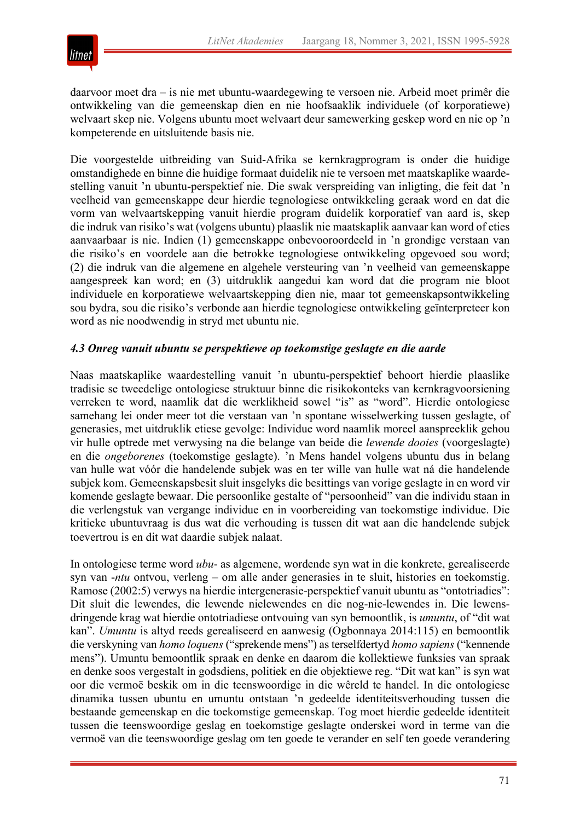

daarvoor moet dra – is nie met ubuntu-waardegewing te versoen nie. Arbeid moet primêr die ontwikkeling van die gemeenskap dien en nie hoofsaaklik individuele (of korporatiewe) welvaart skep nie. Volgens ubuntu moet welvaart deur samewerking geskep word en nie op 'n kompeterende en uitsluitende basis nie.

Die voorgestelde uitbreiding van Suid-Afrika se kernkragprogram is onder die huidige omstandighede en binne die huidige formaat duidelik nie te versoen met maatskaplike waardestelling vanuit 'n ubuntu-perspektief nie. Die swak verspreiding van inligting, die feit dat 'n veelheid van gemeenskappe deur hierdie tegnologiese ontwikkeling geraak word en dat die vorm van welvaartskepping vanuit hierdie program duidelik korporatief van aard is, skep die indruk van risiko's wat (volgens ubuntu) plaaslik nie maatskaplik aanvaar kan word of eties aanvaarbaar is nie. Indien (1) gemeenskappe onbevooroordeeld in 'n grondige verstaan van die risiko's en voordele aan die betrokke tegnologiese ontwikkeling opgevoed sou word; (2) die indruk van die algemene en algehele versteuring van 'n veelheid van gemeenskappe aangespreek kan word; en (3) uitdruklik aangedui kan word dat die program nie bloot individuele en korporatiewe welvaartskepping dien nie, maar tot gemeenskapsontwikkeling sou bydra, sou die risiko's verbonde aan hierdie tegnologiese ontwikkeling geïnterpreteer kon word as nie noodwendig in stryd met ubuntu nie.

#### *4.3 Onreg vanuit ubuntu se perspektiewe op toekomstige geslagte en die aarde*

Naas maatskaplike waardestelling vanuit 'n ubuntu-perspektief behoort hierdie plaaslike tradisie se tweedelige ontologiese struktuur binne die risikokonteks van kernkragvoorsiening verreken te word, naamlik dat die werklikheid sowel "is" as "word". Hierdie ontologiese samehang lei onder meer tot die verstaan van 'n spontane wisselwerking tussen geslagte, of generasies, met uitdruklik etiese gevolge: Individue word naamlik moreel aanspreeklik gehou vir hulle optrede met verwysing na die belange van beide die *lewende dooies* (voorgeslagte) en die *ongeborenes* (toekomstige geslagte). 'n Mens handel volgens ubuntu dus in belang van hulle wat vóór die handelende subjek was en ter wille van hulle wat ná die handelende subjek kom. Gemeenskapsbesit sluit insgelyks die besittings van vorige geslagte in en word vir komende geslagte bewaar. Die persoonlike gestalte of "persoonheid" van die individu staan in die verlengstuk van vergange individue en in voorbereiding van toekomstige individue. Die kritieke ubuntuvraag is dus wat die verhouding is tussen dit wat aan die handelende subjek toevertrou is en dit wat daardie subjek nalaat.

In ontologiese terme word *ubu*- as algemene, wordende syn wat in die konkrete, gerealiseerde syn van -*ntu* ontvou, verleng – om alle ander generasies in te sluit, histories en toekomstig. Ramose (2002:5) verwys na hierdie intergenerasie-perspektief vanuit ubuntu as "ontotriadies": Dit sluit die lewendes, die lewende nielewendes en die nog-nie-lewendes in. Die lewensdringende krag wat hierdie ontotriadiese ontvouing van syn bemoontlik, is *umuntu*, of "dit wat kan". *Umuntu* is altyd reeds gerealiseerd en aanwesig (Ogbonnaya 2014:115) en bemoontlik die verskyning van *homo loquens* ("sprekende mens") as terselfdertyd *homo sapiens* ("kennende mens"). Umuntu bemoontlik spraak en denke en daarom die kollektiewe funksies van spraak en denke soos vergestalt in godsdiens, politiek en die objektiewe reg. "Dit wat kan" is syn wat oor die vermoë beskik om in die teenswoordige in die wêreld te handel. In die ontologiese dinamika tussen ubuntu en umuntu ontstaan 'n gedeelde identiteitsverhouding tussen die bestaande gemeenskap en die toekomstige gemeenskap. Tog moet hierdie gedeelde identiteit tussen die teenswoordige geslag en toekomstige geslagte onderskei word in terme van die vermoë van die teenswoordige geslag om ten goede te verander en self ten goede verandering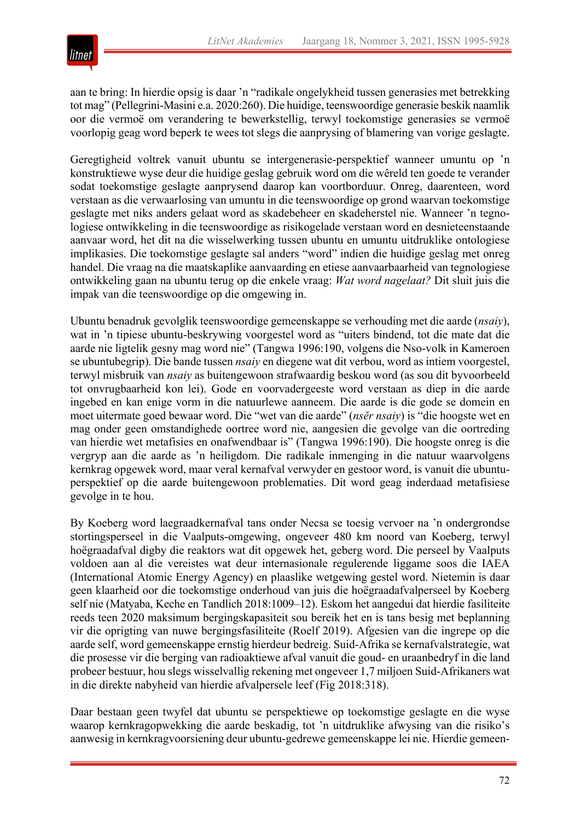

aan te bring: In hierdie opsig is daar 'n "radikale ongelykheid tussen generasies met betrekking tot mag" (Pellegrini-Masini e.a. 2020:260). Die huidige, teenswoordige generasie beskik naamlik oor die vermoë om verandering te bewerkstellig, terwyl toekomstige generasies se vermoë voorlopig geag word beperk te wees tot slegs die aanprysing of blamering van vorige geslagte.

Geregtigheid voltrek vanuit ubuntu se intergenerasie-perspektief wanneer umuntu op 'n konstruktiewe wyse deur die huidige geslag gebruik word om die wêreld ten goede te verander sodat toekomstige geslagte aanprysend daarop kan voortborduur. Onreg, daarenteen, word verstaan as die verwaarlosing van umuntu in die teenswoordige op grond waarvan toekomstige geslagte met niks anders gelaat word as skadebeheer en skadeherstel nie. Wanneer 'n tegnologiese ontwikkeling in die teenswoordige as risikogelade verstaan word en desnieteenstaande aanvaar word, het dit na die wisselwerking tussen ubuntu en umuntu uitdruklike ontologiese implikasies. Die toekomstige geslagte sal anders "word" indien die huidige geslag met onreg handel. Die vraag na die maatskaplike aanvaarding en etiese aanvaarbaarheid van tegnologiese ontwikkeling gaan na ubuntu terug op die enkele vraag: *Wat word nagelaat?* Dit sluit juis die impak van die teenswoordige op die omgewing in.

Ubuntu benadruk gevolglik teenswoordige gemeenskappe se verhouding met die aarde (*nsaiy*), wat in 'n tipiese ubuntu-beskrywing voorgestel word as "uiters bindend, tot die mate dat die aarde nie ligtelik gesny mag word nie" (Tangwa 1996:190, volgens die Nso-volk in Kameroen se ubuntubegrip). Die bande tussen *nsaiy* en diegene wat dit verbou, word as intiem voorgestel, terwyl misbruik van *nsaiy* as buitengewoon strafwaardig beskou word (as sou dit byvoorbeeld tot onvrugbaarheid kon lei). Gode en voorvadergeeste word verstaan as diep in die aarde ingebed en kan enige vorm in die natuurlewe aanneem. Die aarde is die gode se domein en moet uitermate goed bewaar word. Die "wet van die aarde" (*nsĕr nsaiy*) is "die hoogste wet en mag onder geen omstandighede oortree word nie, aangesien die gevolge van die oortreding van hierdie wet metafisies en onafwendbaar is" (Tangwa 1996:190). Die hoogste onreg is die vergryp aan die aarde as 'n heiligdom. Die radikale inmenging in die natuur waarvolgens kernkrag opgewek word, maar veral kernafval verwyder en gestoor word, is vanuit die ubuntuperspektief op die aarde buitengewoon problematies. Dit word geag inderdaad metafisiese gevolge in te hou.

By Koeberg word laegraadkernafval tans onder Necsa se toesig vervoer na 'n ondergrondse stortingsperseel in die Vaalputs-omgewing, ongeveer 480 km noord van Koeberg, terwyl hoëgraadafval digby die reaktors wat dit opgewek het, geberg word. Die perseel by Vaalputs voldoen aan al die vereistes wat deur internasionale regulerende liggame soos die IAEA (International Atomic Energy Agency) en plaaslike wetgewing gestel word. Nietemin is daar geen klaarheid oor die toekomstige onderhoud van juis die hoëgraadafvalperseel by Koeberg self nie (Matyaba, Keche en Tandlich 2018:1009–12). Eskom het aangedui dat hierdie fasiliteite reeds teen 2020 maksimum bergingskapasiteit sou bereik het en is tans besig met beplanning vir die oprigting van nuwe bergingsfasiliteite (Roelf 2019). Afgesien van die ingrepe op die aarde self, word gemeenskappe ernstig hierdeur bedreig. Suid-Afrika se kernafvalstrategie, wat die prosesse vir die berging van radioaktiewe afval vanuit die goud- en uraanbedryf in die land probeer bestuur, hou slegs wisselvallig rekening met ongeveer 1,7 miljoen Suid-Afrikaners wat in die direkte nabyheid van hierdie afvalpersele leef (Fig 2018:318).

Daar bestaan geen twyfel dat ubuntu se perspektiewe op toekomstige geslagte en die wyse waarop kernkragopwekking die aarde beskadig, tot 'n uitdruklike afwysing van die risiko's aanwesig in kernkragvoorsiening deur ubuntu-gedrewe gemeenskappe lei nie. Hierdie gemeen-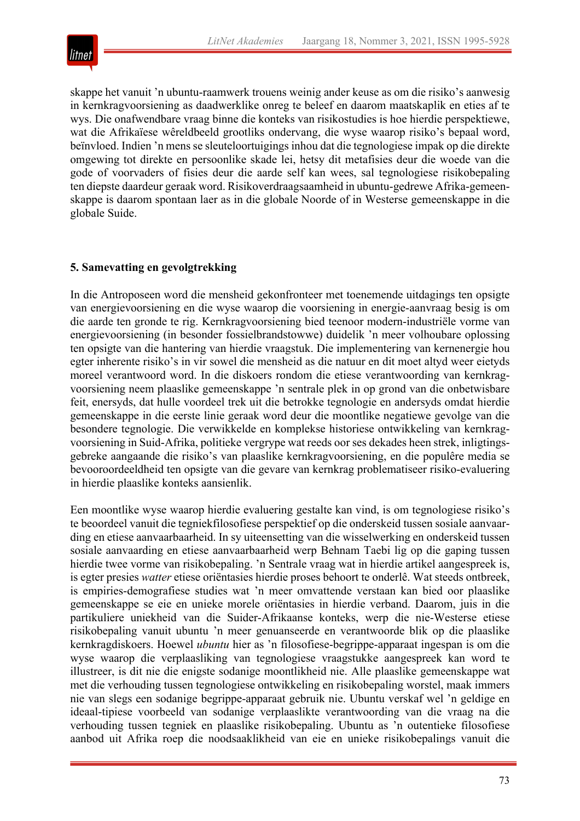

skappe het vanuit 'n ubuntu-raamwerk trouens weinig ander keuse as om die risiko's aanwesig in kernkragvoorsiening as daadwerklike onreg te beleef en daarom maatskaplik en eties af te wys. Die onafwendbare vraag binne die konteks van risikostudies is hoe hierdie perspektiewe, wat die Afrikaïese wêreldbeeld grootliks ondervang, die wyse waarop risiko's bepaal word, beïnvloed. Indien 'n mens se sleuteloortuigings inhou dat die tegnologiese impak op die direkte omgewing tot direkte en persoonlike skade lei, hetsy dit metafisies deur die woede van die gode of voorvaders of fisies deur die aarde self kan wees, sal tegnologiese risikobepaling ten diepste daardeur geraak word. Risikoverdraagsaamheid in ubuntu-gedrewe Afrika-gemeenskappe is daarom spontaan laer as in die globale Noorde of in Westerse gemeenskappe in die globale Suide.

# **5. Samevatting en gevolgtrekking**

In die Antroposeen word die mensheid gekonfronteer met toenemende uitdagings ten opsigte van energievoorsiening en die wyse waarop die voorsiening in energie-aanvraag besig is om die aarde ten gronde te rig. Kernkragvoorsiening bied teenoor modern-industriële vorme van energievoorsiening (in besonder fossielbrandstowwe) duidelik 'n meer volhoubare oplossing ten opsigte van die hantering van hierdie vraagstuk. Die implementering van kernenergie hou egter inherente risiko's in vir sowel die mensheid as die natuur en dit moet altyd weer eietyds moreel verantwoord word. In die diskoers rondom die etiese verantwoording van kernkragvoorsiening neem plaaslike gemeenskappe 'n sentrale plek in op grond van die onbetwisbare feit, enersyds, dat hulle voordeel trek uit die betrokke tegnologie en andersyds omdat hierdie gemeenskappe in die eerste linie geraak word deur die moontlike negatiewe gevolge van die besondere tegnologie. Die verwikkelde en komplekse historiese ontwikkeling van kernkragvoorsiening in Suid-Afrika, politieke vergrype wat reeds oor ses dekades heen strek, inligtingsgebreke aangaande die risiko's van plaaslike kernkragvoorsiening, en die populêre media se bevooroordeeldheid ten opsigte van die gevare van kernkrag problematiseer risiko-evaluering in hierdie plaaslike konteks aansienlik.

Een moontlike wyse waarop hierdie evaluering gestalte kan vind, is om tegnologiese risiko's te beoordeel vanuit die tegniekfilosofiese perspektief op die onderskeid tussen sosiale aanvaarding en etiese aanvaarbaarheid. In sy uiteensetting van die wisselwerking en onderskeid tussen sosiale aanvaarding en etiese aanvaarbaarheid werp Behnam Taebi lig op die gaping tussen hierdie twee vorme van risikobepaling. 'n Sentrale vraag wat in hierdie artikel aangespreek is, is egter presies *watter* etiese oriëntasies hierdie proses behoort te onderlê. Wat steeds ontbreek, is empiries-demografiese studies wat 'n meer omvattende verstaan kan bied oor plaaslike gemeenskappe se eie en unieke morele oriëntasies in hierdie verband. Daarom, juis in die partikuliere uniekheid van die Suider-Afrikaanse konteks, werp die nie-Westerse etiese risikobepaling vanuit ubuntu 'n meer genuanseerde en verantwoorde blik op die plaaslike kernkragdiskoers. Hoewel *ubuntu* hier as 'n filosofiese-begrippe-apparaat ingespan is om die wyse waarop die verplaasliking van tegnologiese vraagstukke aangespreek kan word te illustreer, is dit nie die enigste sodanige moontlikheid nie. Alle plaaslike gemeenskappe wat met die verhouding tussen tegnologiese ontwikkeling en risikobepaling worstel, maak immers nie van slegs een sodanige begrippe-apparaat gebruik nie. Ubuntu verskaf wel 'n geldige en ideaal-tipiese voorbeeld van sodanige verplaaslikte verantwoording van die vraag na die verhouding tussen tegniek en plaaslike risikobepaling. Ubuntu as 'n outentieke filosofiese aanbod uit Afrika roep die noodsaaklikheid van eie en unieke risikobepalings vanuit die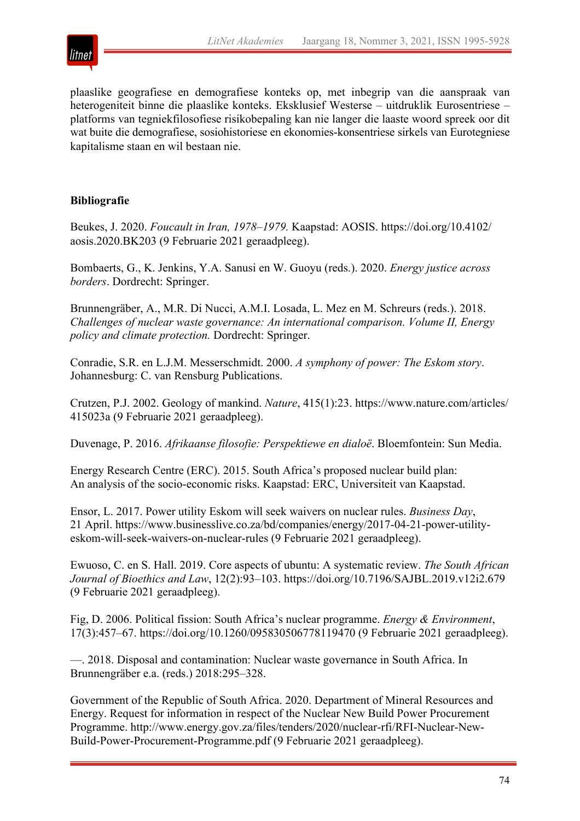

plaaslike geografiese en demografiese konteks op, met inbegrip van die aanspraak van heterogeniteit binne die plaaslike konteks. Eksklusief Westerse – uitdruklik Eurosentriese – platforms van tegniekfilosofiese risikobepaling kan nie langer die laaste woord spreek oor dit wat buite die demografiese, sosiohistoriese en ekonomies-konsentriese sirkels van Eurotegniese kapitalisme staan en wil bestaan nie.

# **Bibliografie**

Beukes, J. 2020. *Foucault in Iran, 1978–1979.* Kaapstad: AOSIS. https://doi.org/10.4102/ aosis.2020.BK203 (9 Februarie 2021 geraadpleeg).

Bombaerts, G., K. Jenkins, Y.A. Sanusi en W. Guoyu (reds.). 2020. *Energy justice across borders*. Dordrecht: Springer.

Brunnengräber, A., M.R. Di Nucci, A.M.I. Losada, L. Mez en M. Schreurs (reds.). 2018. *Challenges of nuclear waste governance: An international comparison. Volume II, Energy policy and climate protection.* Dordrecht: Springer.

Conradie, S.R. en L.J.M. Messerschmidt. 2000. *A symphony of power: The Eskom story*. Johannesburg: C. van Rensburg Publications.

Crutzen, P.J. 2002. Geology of mankind. *Nature*, 415(1):23. https://www.nature.com/articles/ 415023a (9 Februarie 2021 geraadpleeg).

Duvenage, P. 2016. *Afrikaanse filosofie: Perspektiewe en dialoë*. Bloemfontein: Sun Media.

Energy Research Centre (ERC). 2015. South Africa's proposed nuclear build plan: An analysis of the socio-economic risks. Kaapstad: ERC, Universiteit van Kaapstad.

Ensor, L. 2017. Power utility Eskom will seek waivers on nuclear rules. *Business Day*, 21 April. https://www.businesslive.co.za/bd/companies/energy/2017-04-21-power-utilityeskom-will-seek-waivers-on-nuclear-rules (9 Februarie 2021 geraadpleeg).

Ewuoso, C. en S. Hall. 2019. Core aspects of ubuntu: A systematic review. *The South African Journal of Bioethics and Law*, 12(2):93–103. https://doi.org/10.7196/SAJBL.2019.v12i2.679 (9 Februarie 2021 geraadpleeg).

Fig, D. 2006. Political fission: South Africa's nuclear programme. *Energy & Environment*, 17(3):457–67. https://doi.org/10.1260/095830506778119470 (9 Februarie 2021 geraadpleeg).

—. 2018. Disposal and contamination: Nuclear waste governance in South Africa. In Brunnengräber e.a. (reds.) 2018:295–328.

Government of the Republic of South Africa. 2020. Department of Mineral Resources and Energy. Request for information in respect of the Nuclear New Build Power Procurement Programme. http://www.energy.gov.za/files/tenders/2020/nuclear-rfi/RFI-Nuclear-New-Build-Power-Procurement-Programme.pdf (9 Februarie 2021 geraadpleeg).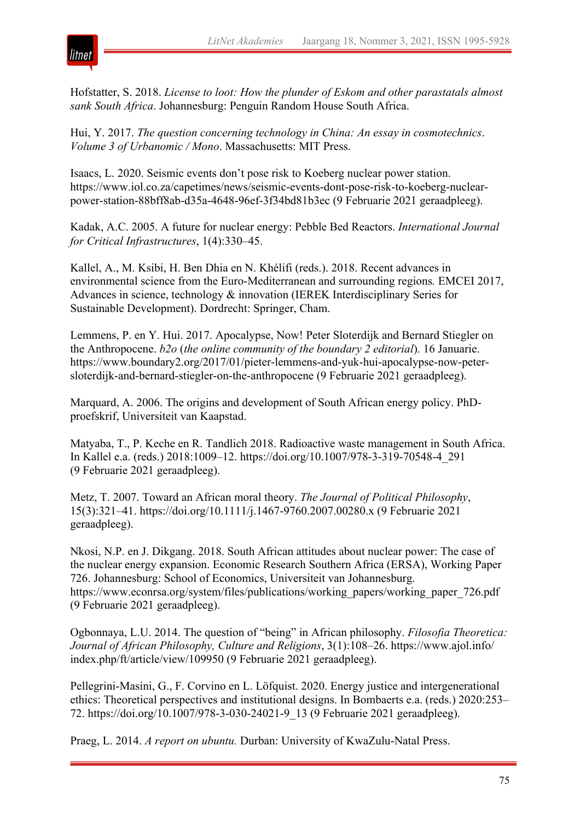

Hofstatter, S. 2018. *License to loot: How the plunder of Eskom and other parastatals almost sank South Africa*. Johannesburg: Penguin Random House South Africa.

Hui, Y. 2017. *The question concerning technology in China: An essay in cosmotechnics*. *Volume 3 of Urbanomic / Mono*. Massachusetts: MIT Press.

Isaacs, L. 2020. Seismic events don't pose risk to Koeberg nuclear power station. https://www.iol.co.za/capetimes/news/seismic-events-dont-pose-risk-to-koeberg-nuclearpower-station-88bff8ab-d35a-4648-96ef-3f34bd81b3ec (9 Februarie 2021 geraadpleeg).

Kadak, A.C. 2005. A future for nuclear energy: Pebble Bed Reactors. *International Journal for Critical Infrastructures*, 1(4):330–45.

Kallel, A., M. Ksibi, H. Ben Dhia en N. Khélifi (reds.). 2018. Recent advances in environmental science from the Euro-Mediterranean and surrounding regions*.* EMCEI 2017, Advances in science, technology & innovation (IEREK Interdisciplinary Series for Sustainable Development). Dordrecht: Springer, Cham.

Lemmens, P. en Y. Hui. 2017. Apocalypse, Now! Peter Sloterdijk and Bernard Stiegler on the Anthropocene. *b2o* (*the online community of the boundary 2 editorial*). 16 Januarie. https://www.boundary2.org/2017/01/pieter-lemmens-and-yuk-hui-apocalypse-now-petersloterdijk-and-bernard-stiegler-on-the-anthropocene (9 Februarie 2021 geraadpleeg).

Marquard, A. 2006. The origins and development of South African energy policy. PhDproefskrif, Universiteit van Kaapstad.

Matyaba, T., P. Keche en R. Tandlich 2018. Radioactive waste management in South Africa. In Kallel e.a. (reds.) 2018:1009–12. https://doi.org/10.1007/978-3-319-70548-4\_291 (9 Februarie 2021 geraadpleeg).

Metz, T. 2007. Toward an African moral theory. *The Journal of Political Philosophy*, 15(3):321–41. https://doi.org/10.1111/j.1467-9760.2007.00280.x (9 Februarie 2021 geraadpleeg).

Nkosi, N.P. en J. Dikgang. 2018. South African attitudes about nuclear power: The case of the nuclear energy expansion. Economic Research Southern Africa (ERSA), Working Paper 726. Johannesburg: School of Economics, Universiteit van Johannesburg. https://www.econrsa.org/system/files/publications/working\_papers/working\_paper\_726.pdf (9 Februarie 2021 geraadpleeg).

Ogbonnaya, L.U. 2014. The question of "being" in African philosophy. *Filosofia Theoretica: Journal of African Philosophy, Culture and Religions*, 3(1):108–26. https://www.ajol.info/ index.php/ft/article/view/109950 (9 Februarie 2021 geraadpleeg).

Pellegrini-Masini, G., F. Corvino en L. Löfquist. 2020. Energy justice and intergenerational ethics: Theoretical perspectives and institutional designs. In Bombaerts e.a. (reds.) 2020:253– 72. https://doi.org/10.1007/978-3-030-24021-9\_13 (9 Februarie 2021 geraadpleeg).

Praeg, L. 2014. *A report on ubuntu.* Durban: University of KwaZulu-Natal Press.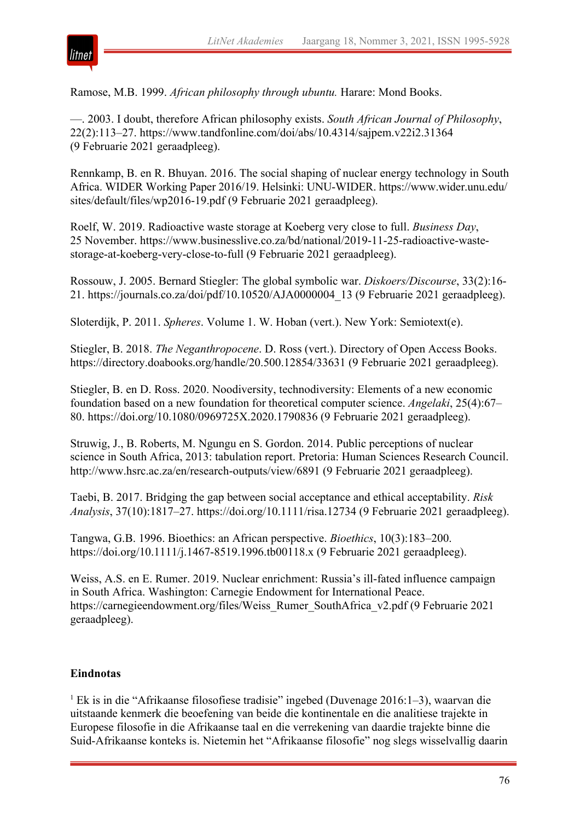

Ramose, M.B. 1999. *African philosophy through ubuntu.* Harare: Mond Books.

—. 2003. I doubt, therefore African philosophy exists. *South African Journal of Philosophy*, 22(2):113–27. https://www.tandfonline.com/doi/abs/10.4314/sajpem.v22i2.31364 (9 Februarie 2021 geraadpleeg).

Rennkamp, B. en R. Bhuyan. 2016. The social shaping of nuclear energy technology in South Africa. WIDER Working Paper 2016/19. Helsinki: UNU-WIDER. https://www.wider.unu.edu/ sites/default/files/wp2016-19.pdf (9 Februarie 2021 geraadpleeg).

Roelf, W. 2019. Radioactive waste storage at Koeberg very close to full. *Business Day*, 25 November. https://www.businesslive.co.za/bd/national/2019-11-25-radioactive-wastestorage-at-koeberg-very-close-to-full (9 Februarie 2021 geraadpleeg).

Rossouw, J. 2005. Bernard Stiegler: The global symbolic war. *Diskoers/Discourse*, 33(2):16- 21. https://journals.co.za/doi/pdf/10.10520/AJA0000004\_13 (9 Februarie 2021 geraadpleeg).

Sloterdijk, P. 2011. *Spheres*. Volume 1. W. Hoban (vert.). New York: Semiotext(e).

Stiegler, B. 2018. *The Neganthropocene*. D. Ross (vert.). Directory of Open Access Books. https://directory.doabooks.org/handle/20.500.12854/33631 (9 Februarie 2021 geraadpleeg).

Stiegler, B. en D. Ross. 2020. Noodiversity, technodiversity: Elements of a new economic foundation based on a new foundation for theoretical computer science. *Angelaki*, 25(4):67– 80. https://doi.org/10.1080/0969725X.2020.1790836 (9 Februarie 2021 geraadpleeg).

Struwig, J., B. Roberts, M. Ngungu en S. Gordon. 2014. Public perceptions of nuclear science in South Africa, 2013: tabulation report. Pretoria: Human Sciences Research Council. http://www.hsrc.ac.za/en/research-outputs/view/6891 (9 Februarie 2021 geraadpleeg).

Taebi, B. 2017. Bridging the gap between social acceptance and ethical acceptability. *Risk Analysis*, 37(10):1817–27. https://doi.org/10.1111/risa.12734 (9 Februarie 2021 geraadpleeg).

Tangwa, G.B. 1996. Bioethics: an African perspective. *Bioethics*, 10(3):183–200. https://doi.org/10.1111/j.1467-8519.1996.tb00118.x (9 Februarie 2021 geraadpleeg).

Weiss, A.S. en E. Rumer. 2019. Nuclear enrichment: Russia's ill-fated influence campaign in South Africa. Washington: Carnegie Endowment for International Peace. https://carnegieendowment.org/files/Weiss\_Rumer\_SouthAfrica\_v2.pdf (9 Februarie 2021 geraadpleeg).

# **Eindnotas**

<sup>1</sup> Ek is in die "Afrikaanse filosofiese tradisie" ingebed (Duvenage 2016:1–3), waarvan die uitstaande kenmerk die beoefening van beide die kontinentale en die analitiese trajekte in Europese filosofie in die Afrikaanse taal en die verrekening van daardie trajekte binne die Suid-Afrikaanse konteks is. Nietemin het "Afrikaanse filosofie" nog slegs wisselvallig daarin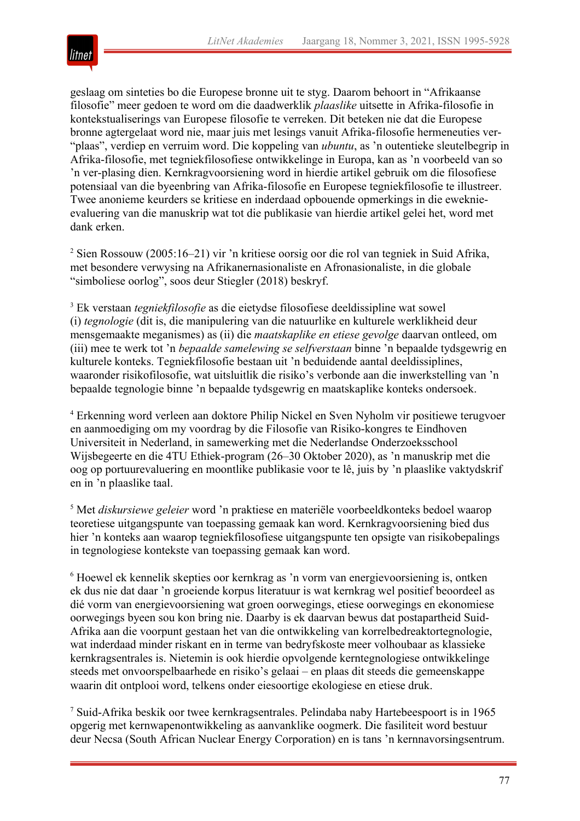

geslaag om sinteties bo die Europese bronne uit te styg. Daarom behoort in "Afrikaanse filosofie" meer gedoen te word om die daadwerklik *plaaslike* uitsette in Afrika-filosofie in kontekstualiserings van Europese filosofie te verreken. Dit beteken nie dat die Europese bronne agtergelaat word nie, maar juis met lesings vanuit Afrika-filosofie hermeneuties ver- "plaas", verdiep en verruim word. Die koppeling van *ubuntu*, as 'n outentieke sleutelbegrip in Afrika-filosofie, met tegniekfilosofiese ontwikkelinge in Europa, kan as 'n voorbeeld van so 'n ver-plasing dien. Kernkragvoorsiening word in hierdie artikel gebruik om die filosofiese potensiaal van die byeenbring van Afrika-filosofie en Europese tegniekfilosofie te illustreer. Twee anonieme keurders se kritiese en inderdaad opbouende opmerkings in die eweknieevaluering van die manuskrip wat tot die publikasie van hierdie artikel gelei het, word met dank erken.

<sup>2</sup> Sien Rossouw (2005:16–21) vir 'n kritiese oorsig oor die rol van tegniek in Suid Afrika, met besondere verwysing na Afrikanernasionaliste en Afronasionaliste, in die globale "simboliese oorlog", soos deur Stiegler (2018) beskryf.

<sup>3</sup> Ek verstaan *tegniekfilosofie* as die eietydse filosofiese deeldissipline wat sowel (i) *tegnologie* (dit is, die manipulering van die natuurlike en kulturele werklikheid deur mensgemaakte meganismes) as (ii) die *maatskaplike en etiese gevolge* daarvan ontleed, om (iii) mee te werk tot 'n *bepaalde samelewing se selfverstaan* binne 'n bepaalde tydsgewrig en kulturele konteks. Tegniekfilosofie bestaan uit 'n beduidende aantal deeldissiplines, waaronder risikofilosofie, wat uitsluitlik die risiko's verbonde aan die inwerkstelling van 'n bepaalde tegnologie binne 'n bepaalde tydsgewrig en maatskaplike konteks ondersoek.

<sup>4</sup> Erkenning word verleen aan doktore Philip Nickel en Sven Nyholm vir positiewe terugvoer en aanmoediging om my voordrag by die Filosofie van Risiko-kongres te Eindhoven Universiteit in Nederland, in samewerking met die Nederlandse Onderzoeksschool Wijsbegeerte en die 4TU Ethiek-program (26–30 Oktober 2020), as 'n manuskrip met die oog op portuurevaluering en moontlike publikasie voor te lê, juis by 'n plaaslike vaktydskrif en in 'n plaaslike taal.

<sup>5</sup> Met *diskursiewe geleier* word 'n praktiese en materiële voorbeeldkonteks bedoel waarop teoretiese uitgangspunte van toepassing gemaak kan word. Kernkragvoorsiening bied dus hier 'n konteks aan waarop tegniekfilosofiese uitgangspunte ten opsigte van risikobepalings in tegnologiese kontekste van toepassing gemaak kan word.

<sup>6</sup> Hoewel ek kennelik skepties oor kernkrag as 'n vorm van energievoorsiening is, ontken ek dus nie dat daar 'n groeiende korpus literatuur is wat kernkrag wel positief beoordeel as dié vorm van energievoorsiening wat groen oorwegings, etiese oorwegings en ekonomiese oorwegings byeen sou kon bring nie. Daarby is ek daarvan bewus dat postapartheid Suid-Afrika aan die voorpunt gestaan het van die ontwikkeling van korrelbedreaktortegnologie, wat inderdaad minder riskant en in terme van bedryfskoste meer volhoubaar as klassieke kernkragsentrales is. Nietemin is ook hierdie opvolgende kerntegnologiese ontwikkelinge steeds met onvoorspelbaarhede en risiko's gelaai – en plaas dit steeds die gemeenskappe waarin dit ontplooi word, telkens onder eiesoortige ekologiese en etiese druk.

<sup>7</sup> Suid-Afrika beskik oor twee kernkragsentrales. Pelindaba naby Hartebeespoort is in 1965 opgerig met kernwapenontwikkeling as aanvanklike oogmerk. Die fasiliteit word bestuur deur Necsa (South African Nuclear Energy Corporation) en is tans 'n kernnavorsingsentrum.